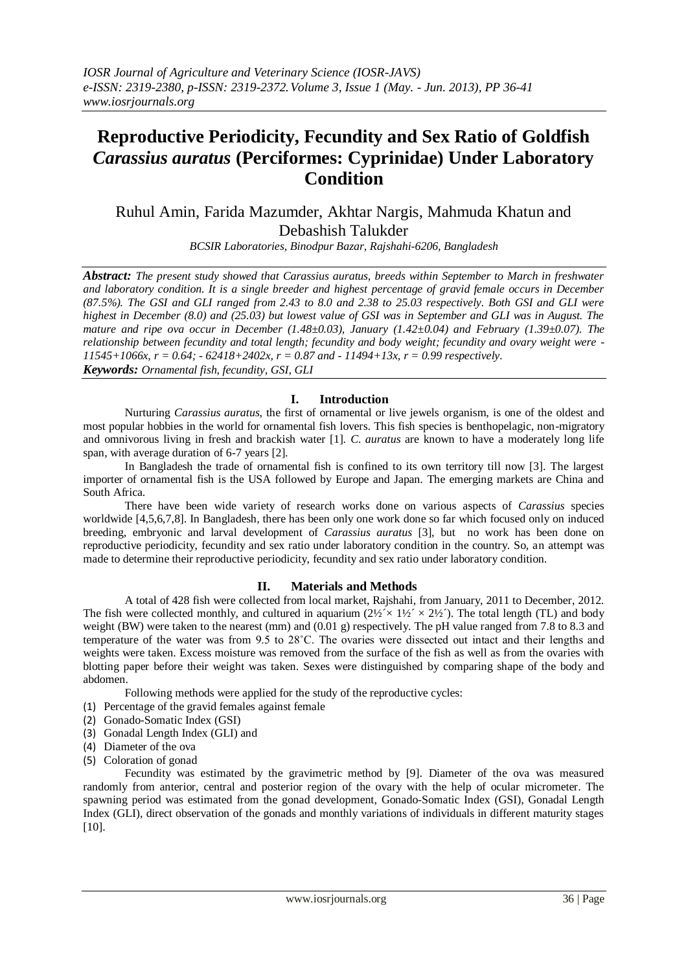# **Reproductive Periodicity, Fecundity and Sex Ratio of Goldfish**  *Carassius auratus* **(Perciformes: Cyprinidae) Under Laboratory Condition**

## Ruhul Amin, Farida Mazumder, Akhtar Nargis, Mahmuda Khatun and Debashish Talukder

*BCSIR Laboratories, Binodpur Bazar, Rajshahi-6206, Bangladesh*

*Abstract: The present study showed that Carassius auratus, breeds within September to March in freshwater and laboratory condition. It is a single breeder and highest percentage of gravid female occurs in December (87.5%). The GSI and GLI ranged from 2.43 to 8.0 and 2.38 to 25.03 respectively. Both GSI and GLI were highest in December (8.0) and (25.03) but lowest value of GSI was in September and GLI was in August. The mature and ripe ova occur in December (1.48±0.03), January (1.42±0.04) and February (1.39±0.07). The relationship between fecundity and total length; fecundity and body weight; fecundity and ovary weight were - 11545+1066x, r = 0.64; - 62418+2402x, r = 0.87 and - 11494+13x, r = 0.99 respectively. Keywords: Ornamental fish, fecundity, GSI, GLI*

#### **I. Introduction**

Nurturing *Carassius auratus*, the first of ornamental or live jewels organism, is one of the oldest and most popular hobbies in the world for ornamental fish lovers. This fish species is benthopelagic, non-migratory and omnivorous living in fresh and brackish water [1]. *C. auratus* are known to have a moderately long life span, with average duration of 6-7 years [2].

In Bangladesh the trade of ornamental fish is confined to its own territory till now [3]. The largest importer of ornamental fish is the USA followed by Europe and Japan. The emerging markets are China and South Africa.

There have been wide variety of research works done on various aspects of *Carassius* species worldwide [4,5,6,7,8]. In Bangladesh, there has been only one work done so far which focused only on induced breeding, embryonic and larval development of *Carassius auratus* [3], but no work has been done on reproductive periodicity, fecundity and sex ratio under laboratory condition in the country. So, an attempt was made to determine their reproductive periodicity, fecundity and sex ratio under laboratory condition.

#### **II. Materials and Methods**

A total of 428 fish were collected from local market, Rajshahi, from January, 2011 to December, 2012. The fish were collected monthly, and cultured in aquarium  $(2\frac{1}{2} \times 1\frac{1}{2} \times 2\frac{1}{2})$ . The total length (TL) and body weight (BW) were taken to the nearest (mm) and (0.01 g) respectively. The pH value ranged from 7.8 to 8.3 and temperature of the water was from 9.5 to 28˚C. The ovaries were dissected out intact and their lengths and weights were taken. Excess moisture was removed from the surface of the fish as well as from the ovaries with blotting paper before their weight was taken. Sexes were distinguished by comparing shape of the body and abdomen.

Following methods were applied for the study of the reproductive cycles:

- (1) Percentage of the gravid females against female
- (2) Gonado-Somatic Index (GSI)
- (3) Gonadal Length Index (GLI) and
- (4) Diameter of the ova
- (5) Coloration of gonad

Fecundity was estimated by the gravimetric method by [9]. Diameter of the ova was measured randomly from anterior, central and posterior region of the ovary with the help of ocular micrometer. The spawning period was estimated from the gonad development, Gonado-Somatic Index (GSI), Gonadal Length Index (GLI), direct observation of the gonads and monthly variations of individuals in different maturity stages [10].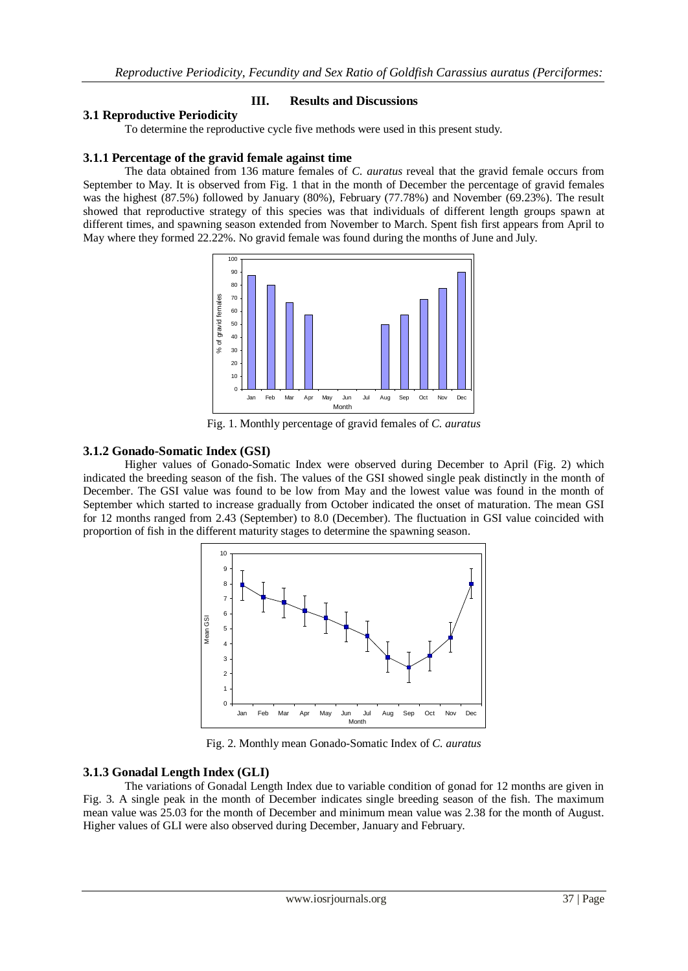#### **III. Results and Discussions**

#### **3.1 Reproductive Periodicity**

To determine the reproductive cycle five methods were used in this present study.

#### **3.1.1 Percentage of the gravid female against time**

The data obtained from 136 mature females of *C. auratus* reveal that the gravid female occurs from September to May. It is observed from Fig. 1 that in the month of December the percentage of gravid females was the highest (87.5%) followed by January (80%), February (77.78%) and November (69.23%). The result showed that reproductive strategy of this species was that individuals of different length groups spawn at different times, and spawning season extended from November to March. Spent fish first appears from April to May where they formed 22.22%. No gravid female was found during the months of June and July.



Fig. 1. Monthly percentage of gravid females of *C. auratus*

#### **3.1.2 Gonado-Somatic Index (GSI)**

Higher values of Gonado-Somatic Index were observed during December to April (Fig. 2) which indicated the breeding season of the fish. The values of the GSI showed single peak distinctly in the month of December. The GSI value was found to be low from May and the lowest value was found in the month of September which started to increase gradually from October indicated the onset of maturation. The mean GSI for 12 months ranged from 2.43 (September) to 8.0 (December). The fluctuation in GSI value coincided with proportion of fish in the different maturity stages to determine the spawning season.



Fig. 2. Monthly mean Gonado-Somatic Index of *C. auratus*

#### **3.1.3 Gonadal Length Index (GLI)**

The variations of Gonadal Length Index due to variable condition of gonad for 12 months are given in Fig. 3. A single peak in the month of December indicates single breeding season of the fish. The maximum mean value was 25.03 for the month of December and minimum mean value was 2.38 for the month of August. Higher values of GLI were also observed during December, January and February.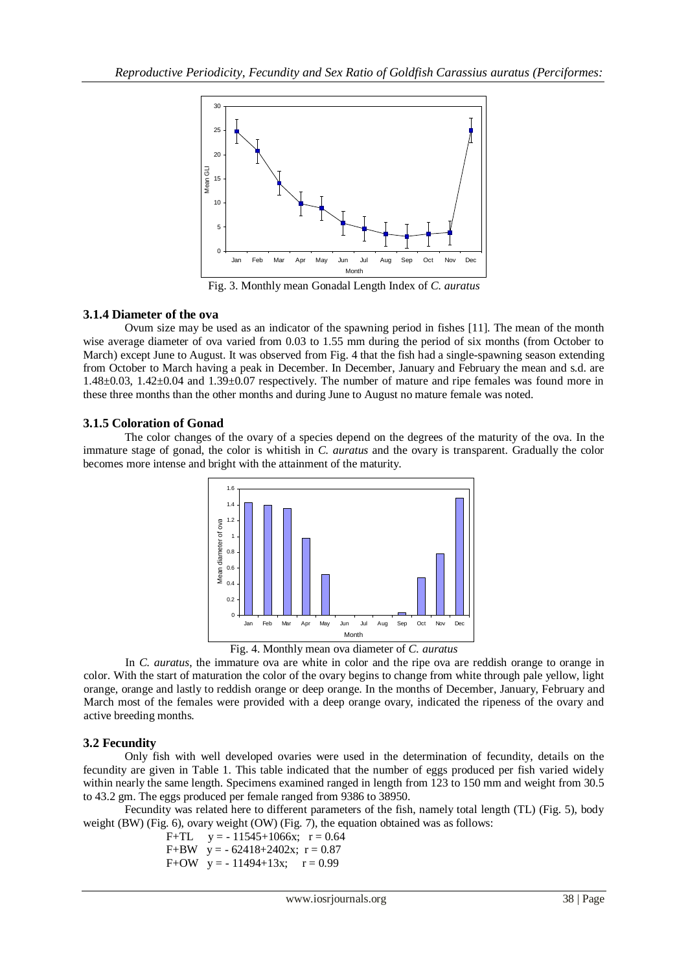

Fig. 3. Monthly mean Gonadal Length Index of *C. auratus*

## **3.1.4 Diameter of the ova**

Ovum size may be used as an indicator of the spawning period in fishes [11]. The mean of the month wise average diameter of ova varied from 0.03 to 1.55 mm during the period of six months (from October to March) except June to August. It was observed from Fig. 4 that the fish had a single-spawning season extending from October to March having a peak in December. In December, January and February the mean and s.d. are 1.48±0.03, 1.42±0.04 and 1.39±0.07 respectively. The number of mature and ripe females was found more in these three months than the other months and during June to August no mature female was noted.

## **3.1.5 Coloration of Gonad**

The color changes of the ovary of a species depend on the degrees of the maturity of the ova. In the immature stage of gonad, the color is whitish in *C. auratus* and the ovary is transparent. Gradually the color becomes more intense and bright with the attainment of the maturity.



Fig. 4. Monthly mean ova diameter of *C. auratus*

In *C. auratus*, the immature ova are white in color and the ripe ova are reddish orange to orange in color. With the start of maturation the color of the ovary begins to change from white through pale yellow, light orange, orange and lastly to reddish orange or deep orange. In the months of December, January, February and March most of the females were provided with a deep orange ovary, indicated the ripeness of the ovary and active breeding months.

## **3.2 Fecundity**

Only fish with well developed ovaries were used in the determination of fecundity, details on the fecundity are given in Table 1. This table indicated that the number of eggs produced per fish varied widely within nearly the same length. Specimens examined ranged in length from 123 to 150 mm and weight from 30.5 to 43.2 gm. The eggs produced per female ranged from 9386 to 38950.

Fecundity was related here to different parameters of the fish, namely total length (TL) (Fig. 5), body weight (BW) (Fig. 6), ovary weight (OW) (Fig. 7), the equation obtained was as follows:

F+TL  $y = -11545+1066x$ ;  $r = 0.64$ F+BW  $y = -62418+2402x$ ;  $r = 0.87$ F+OW  $y = -11494+13x$ ;  $r = 0.99$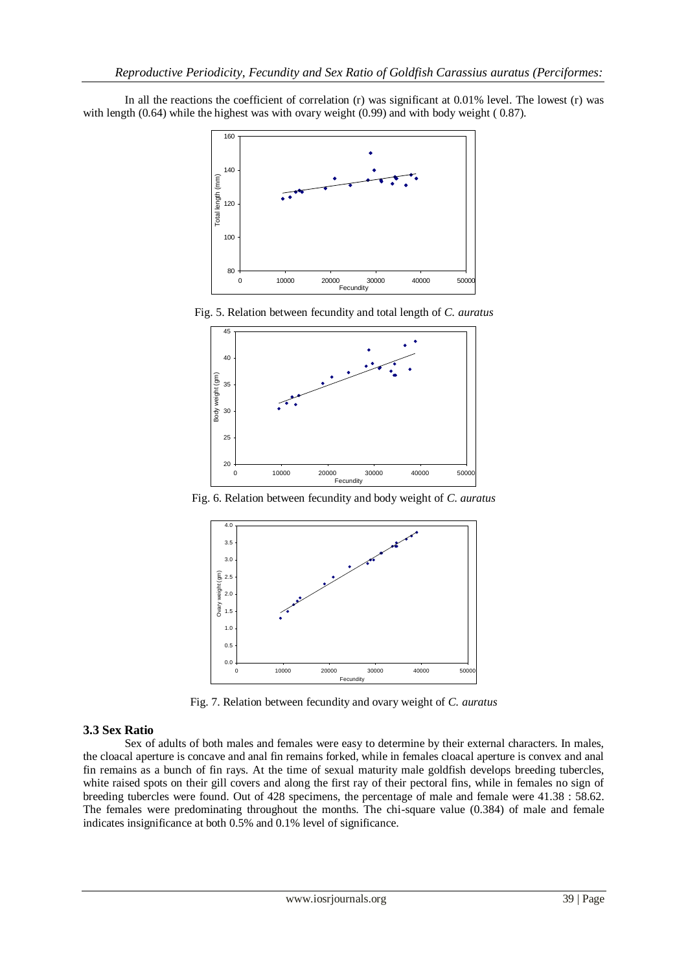In all the reactions the coefficient of correlation (r) was significant at 0.01% level. The lowest (r) was with length (0.64) while the highest was with ovary weight (0.99) and with body weight ( 0.87).



Fig. 5. Relation between fecundity and total length of *C. auratus*



Fig. 6. Relation between fecundity and body weight of *C. auratus*



Fig. 7. Relation between fecundity and ovary weight of *C. auratus*

## **3.3 Sex Ratio**

Sex of adults of both males and females were easy to determine by their external characters. In males, the cloacal aperture is concave and anal fin remains forked, while in females cloacal aperture is convex and anal fin remains as a bunch of fin rays. At the time of sexual maturity male goldfish develops breeding tubercles, white raised spots on their gill covers and along the first ray of their pectoral fins, while in females no sign of breeding tubercles were found. Out of 428 specimens, the percentage of male and female were 41.38 : 58.62. The females were predominating throughout the months. The chi-square value (0.384) of male and female indicates insignificance at both 0.5% and 0.1% level of significance.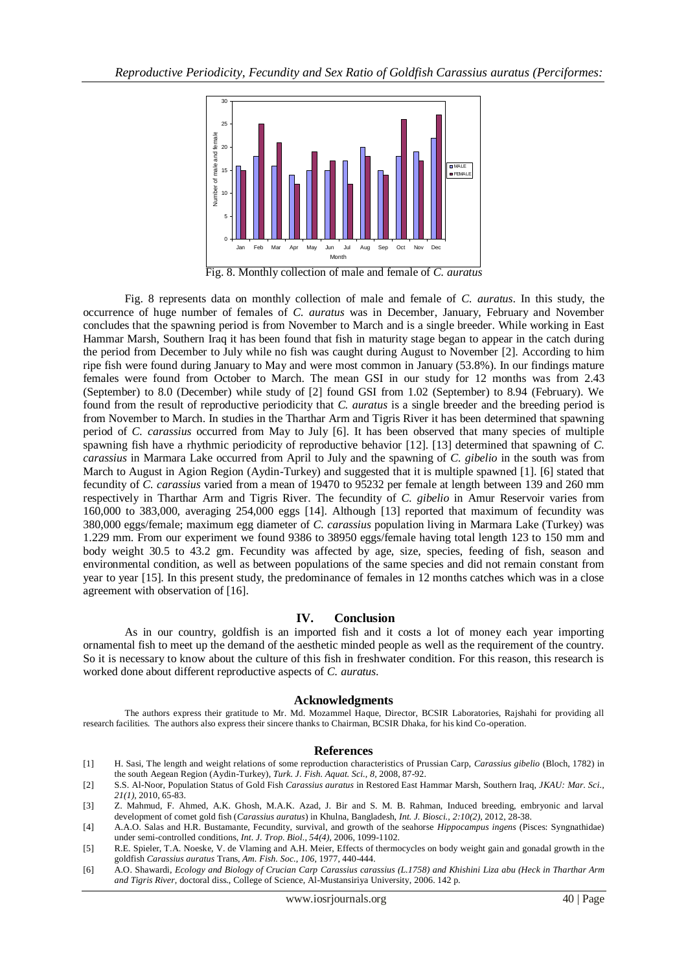

Fig. 8. Monthly collection of male and female of *C. auratus*

Fig. 8 represents data on monthly collection of male and female of *C. auratus*. In this study, the occurrence of huge number of females of *C. auratus* was in December, January, February and November concludes that the spawning period is from November to March and is a single breeder. While working in East Hammar Marsh, Southern Iraq it has been found that fish in maturity stage began to appear in the catch during the period from December to July while no fish was caught during August to November [2]. According to him ripe fish were found during January to May and were most common in January (53.8%). In our findings mature females were found from October to March. The mean GSI in our study for 12 months was from 2.43 (September) to 8.0 (December) while study of [2] found GSI from 1.02 (September) to 8.94 (February). We found from the result of reproductive periodicity that *C. auratus* is a single breeder and the breeding period is from November to March. In studies in the Tharthar Arm and Tigris River it has been determined that spawning period of *C. carassius* occurred from May to July [6]. It has been observed that many species of multiple spawning fish have a rhythmic periodicity of reproductive behavior [12]. [13] determined that spawning of *C. carassius* in Marmara Lake occurred from April to July and the spawning of *C. gibelio* in the south was from March to August in Agion Region (Aydin-Turkey) and suggested that it is multiple spawned [1]. [6] stated that fecundity of *C. carassius* varied from a mean of 19470 to 95232 per female at length between 139 and 260 mm respectively in Tharthar Arm and Tigris River. The fecundity of *C. gibelio* in Amur Reservoir varies from 160,000 to 383,000, averaging 254,000 eggs [14]. Although [13] reported that maximum of fecundity was 380,000 eggs/female; maximum egg diameter of *C. carassius* population living in Marmara Lake (Turkey) was 1.229 mm. From our experiment we found 9386 to 38950 eggs/female having total length 123 to 150 mm and body weight 30.5 to 43.2 gm. Fecundity was affected by age, size, species, feeding of fish, season and environmental condition, as well as between populations of the same species and did not remain constant from year to year [15]. In this present study, the predominance of females in 12 months catches which was in a close agreement with observation of [16].

#### **IV. Conclusion**

As in our country, goldfish is an imported fish and it costs a lot of money each year importing ornamental fish to meet up the demand of the aesthetic minded people as well as the requirement of the country. So it is necessary to know about the culture of this fish in freshwater condition. For this reason, this research is worked done about different reproductive aspects of *C. auratus*.

#### **Acknowledgments**

The authors express their gratitude to Mr. Md. Mozammel Haque, Director, BCSIR Laboratories, Rajshahi for providing all research facilities. The authors also express their sincere thanks to Chairman, BCSIR Dhaka, for his kind Co-operation.

#### **References**

- [1] H. Sasi, The length and weight relations of some reproduction characteristics of Prussian Carp, *Carassius gibelio* (Bloch, 1782) in the south Aegean Region (Aydin-Turkey), *Turk. J. Fish. Aquat. Sci., 8,* 2008, 87-92.
- [2] S.S. Al-Noor, Population Status of Gold Fish *Carassius auratus* in Restored East Hammar Marsh, Southern Iraq, *JKAU: Mar. Sci., 21(1),* 2010, 65-83.
- [3] Z. Mahmud, F. Ahmed, A.K. Ghosh, M.A.K. Azad, J. Bir and S. M. B. Rahman, Induced breeding, embryonic and larval development of comet gold fish (*Carassius auratus*) in Khulna, Bangladesh, *Int. J. Biosci., 2:10(2),* 2012, 28-38.
- [4] A.A.O. Salas and H.R. Bustamante, Fecundity, survival, and growth of the seahorse *Hippocampus ingens* (Pisces: Syngnathidae) under semi-controlled conditions, *Int. J. Trop. Biol., 54(4),* 2006, 1099-1102.
- [5] R.E. Spieler, T.A. Noeske, V. de Vlaming and A.H. Meier, Effects of thermocycles on body weight gain and gonadal growth in the goldfish *Carassius auratus* Trans, *Am. Fish. Soc., 106,* 1977, 440-444.
- [6] A.O. Shawardi, *Ecology and Biology of Crucian Carp Carassius carassius (L.1758) and Khishini Liza abu (Heck in Tharthar Arm and Tigris River,* doctoral diss., College of Science, Al-Mustansiriya University, 2006. 142 p.